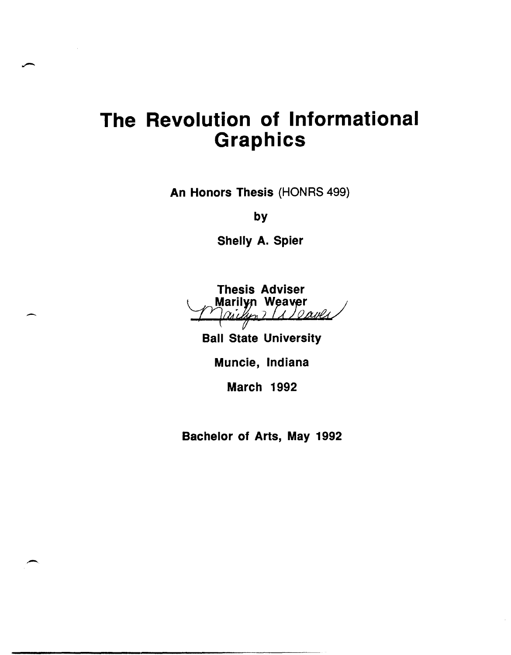# **The Revolution of Informational Graphics**

An Honors Thesis (HONRS 499)

by

Shelly A. Spier



Ball State University

Muncie, Indiana

March 1992

Bachelor of Arts, May 1992

 $\overline{\phantom{0}}$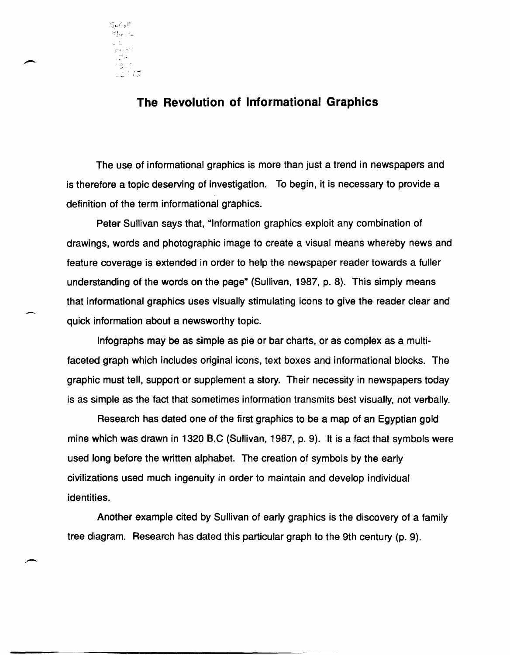

## **The Revolution of Informational Graphics**

The use of informational graphics is more than just a trend in newspapers and is therefore a topic deserving of investigation. To begin, it is necessary to provide a definition of the term informational graphics.

Peter Sullivan says that, "Information graphics exploit any combination of drawings, words and photographic image to create a visual means whereby news and feature coverage is extended in order to help the newspaper reader towards a fuller understanding of the words on the page" (Sullivan, 1987, p. 8). This simply means that informational graphics uses visually stimulating icons to give the reader clear and quick information about a newsworthy topic.

Infographs may be as simple as pie or bar charts, or as complex as a multifaceted graph which includes Original icons, text boxes and informational blocks. The graphic must tell, support or supplement a story. Their necessity in newspapers today is as simple as the fact that sometimes information transmits best visually, not verbally.

Research has dated one of the first graphics to be a map of an Egyptian gold mine which was drawn in 1320 B.C (Sullivan, 1987, p. 9). It is a fact that symbols were used long before the written alphabet. The creation of symbols by the early civilizations used much ingenuity in order to maintain and develop individual identities.

Another example cited by Sullivan of early graphics is the discovery of a family tree diagram. Research has dated this particular graph to the 9th century (p. 9).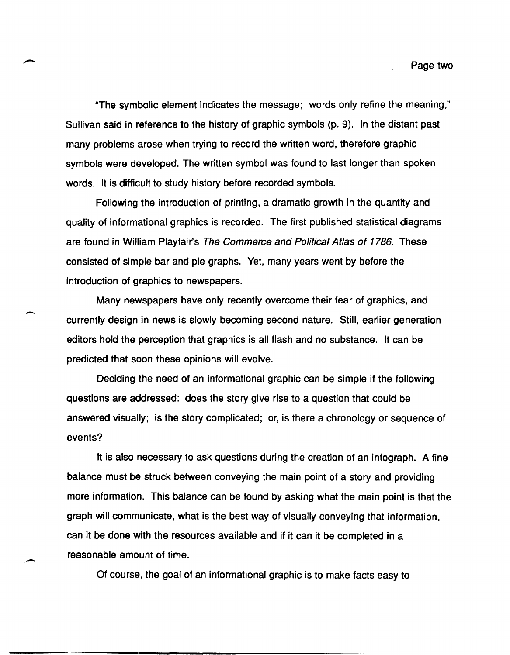"The symbolic element indicates the message; words only refine the meaning," Sullivan said in reference to the history of graphic symbols (p. 9). In the distant past many problems arose when trying to record the written word, therefore graphic symbols were developed. The written symbol was found to last longer than spoken words. It is difficult to study history before recorded symbols.

Following the introduction of printing, a dramatic growth in the quantity and quality of informational graphics is recorded. The first published statistical diagrams are found in William Playfair's The Commerce and Political Atlas of 1786. These consisted of simple bar and pie graphs. Yet, many years went by before the introduction of graphics to newspapers.

Many newspapers have only recently overcome their fear of graphics, and currently design in news is slowly becoming second nature. Still, earlier generation editors hold the perception that graphics is all flash and no substance. It can be predicted that soon these opinions will evolve.

Deciding the need of an informational graphic can be simple if the following questions are addressed: does the story give rise to a question that could be answered visually; is the story complicated; or, is there a chronology or sequence of events?

It is also necessary to ask questions during the creation of an infograph. A fine balance must be struck between conveying the main point of a story and providing more information. This balance can be found by asking what the main point is that the graph will communicate, what is the best way of visually conveying that information, can it be done with the resources available and if it can it be completed in a reasonable amount of time.

Of course, the goal of an informational graphic is to make facts easy to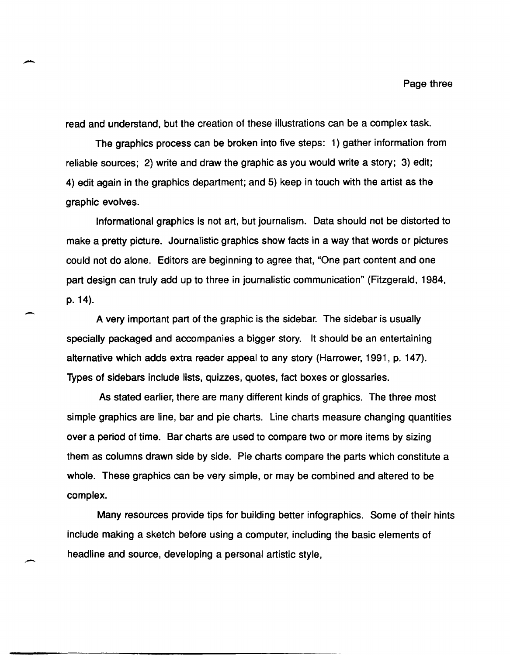read and understand, but the creation of these illustrations can be a complex task.

The graphics process can be broken into five steps: 1) gather information from reliable sources; 2) write and draw the graphic as you would write a story; 3) edit; 4) edit again in the graphics department; and 5) keep in touch with the artist as the graphic evolves.

Informational graphics is not art, but journalism. Data should not be distorted to make a pretty picture. Journalistic graphics show facts in a way that words or pictures could not do alone. Editors are beginning to agree that, "One part content and one part design can truly add up to three in journalistic communication" (Fitzgerald, 1984, p.14).

A very important part of the graphic is the sidebar. The sidebar is usually specially packaged and accompanies a bigger story. It should be an entertaining alternative which adds extra reader appeal to any story (Harrower, 1991, p. 147). Types of sidebars include lists, quizzes, quotes, fact boxes or glossaries.

-

As stated earlier, there are many different kinds of graphics. The three most simple graphics are line, bar and pie charts. Line charts measure changing quantities over a period of time. Bar charts are used to compare two or more items by sizing them as columns drawn side by side. Pie charts compare the parts which constitute a whole. These graphics can be very simple, or may be combined and altered to be complex.

Many resources provide tips for building better infographics. Some of their hints include making a sketch before using a computer, including the basic elements of headline and source, developing a personal artistic style,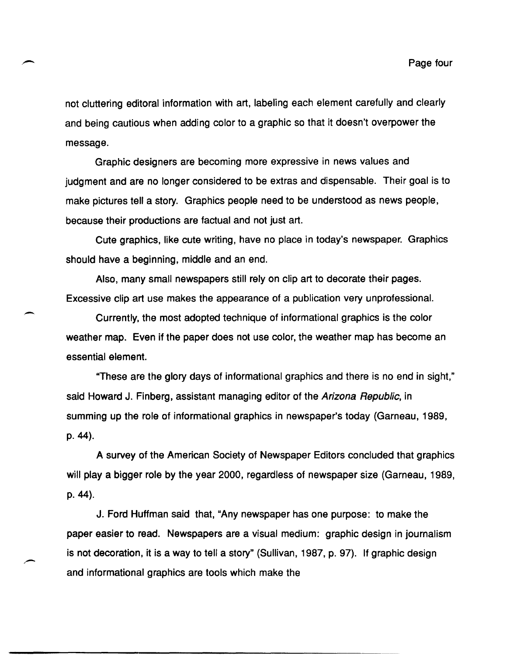not cluttering editoral information with art, labeling each element carefully and clearly and being cautious when adding color to a graphic so that it doesn't overpower the message.

Graphic designers are becoming more expressive in news values and judgment and are no longer considered to be extras and dispensable. Their goal is to make pictures tell a story. Graphics people need to be understood as news people, because their productions are factual and not just art.

Cute graphics, like cute writing, have no place in today's newspaper. Graphics should have a beginning, middle and an end.

Also, many small newspapers still rely on Clip art to decorate their pages. Excessive clip art use makes the appearance of a publication very unprofessional.

 $\overline{\phantom{0}}$ 

Currently, the most adopted technique of informational graphics is the color weather map. Even if the paper does not use color, the weather map has become an essential element.

"These are the glory days of informational graphics and there is no end in sight," said Howard J. Finberg, assistant managing editor of the Arizona Republic, in summing up the role of informational graphics in newspaper's today (Garneau, 1989, p.44).

A survey of the American Society of Newspaper Editors concluded that graphics will play a bigger role by the year 2000, regardless of newspaper size (Garneau, 1989, p.44).

J. Ford Huffman said that, "Any newspaper has one purpose: to make the paper easier to read. Newspapers are a visual medium: graphic design in journalism is not decoration, it is a way to tell a story" (Sullivan, 1987, p. 97). If graphic design and informational graphics are tools which make the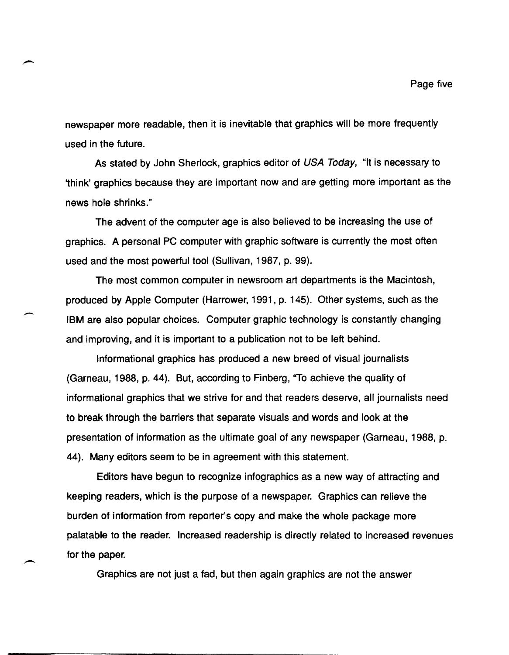newspaper more readable, then it is inevitable that graphics will be more frequently used in the future.

.-

-

As stated by John Sherlock, graphics editor of USA Today, "It is necessary to 'think' graphics because they are important now and are getting more important as the news hole shrinks."

The advent of the computer age is also believed to be increasing the use of graphics. A personal PC computer with graphic software is currently the most often used and the most powerful tool (Sullivan, 1987, p. 99).

The most common computer in newsroom art departments is the Macintosh, produced by Apple Computer (Harrower, 1991, p. 145). Other systems, such as the IBM are also popular choices. Computer graphic technology is constantly changing and improving, and it is important to a publication not to be left behind.

Informational graphics has produced a new breed of visual journalists (Garneau, 1988, p. 44). But, according to Finberg, ''To achieve the quality of informational graphics that we strive for and that readers deserve, all journalists need to break through the barriers that separate visuals and words and look at the presentation of information as the ultimate goal of any newspaper (Garneau, 1988, p. 44). Many editors seem to be in agreement with this statement.

Editors have begun to recognize infographics as a new way of attracting and keeping readers, which is the purpose of a newspaper. Graphics can relieve the burden of information from reporter's copy and make the whole package more palatable to the reader. Increased readership is directly related to increased revenues for the paper.

Graphics are not just a fad, but then again graphics are not the answer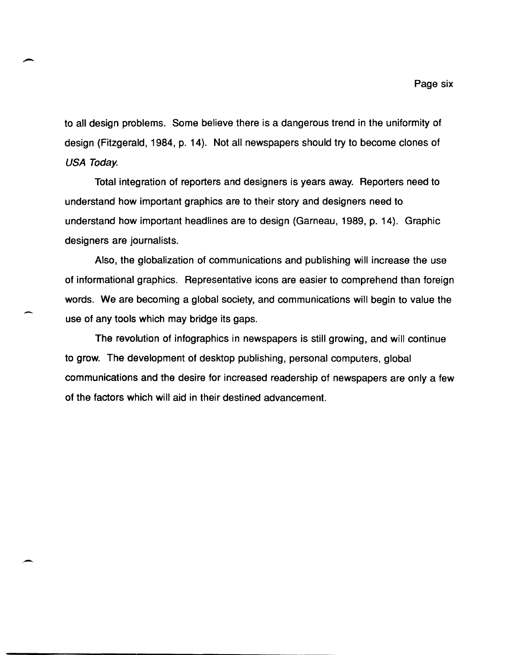to all design problems. Some believe there is a dangerous trend in the uniformity of design (Fitzgerald, 1984, p. 14). Not all newspapers should try to become clones of USA Today.

-

Total integration of reporters and designers is years away. Reporters need to understand how important graphics are to their story and designers need to understand how important headlines are to design (Garneau, 1989, p. 14). Graphic designers are journalists.

Also, the globalization of communications and publishing will increase the use of informational graphics. Representative icons are easier to comprehend than foreign words. We are becoming a global society, and communications will begin to value the use of any tools which may bridge its gaps.

The revolution of infographics in newspapers is still growing, and will continue to grow. The development of desktop publishing, personal computers, global communications and the desire for increased readership of newspapers are only a few of the factors which will aid in their destined advancement.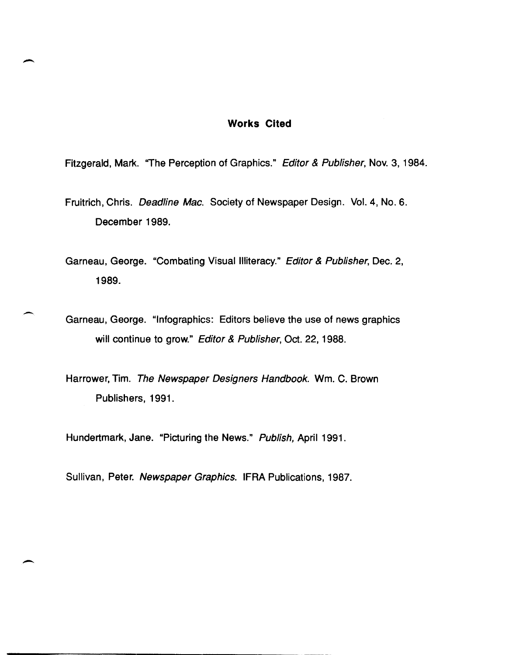#### **Works Cited**

Fitzgerald, Mark. "The Perception of Graphics." Editor & Publisher, Nov. 3, 1984.

-

 $\overline{\phantom{0}}$ 

 $\overline{\phantom{0}}$ 

Fruitrich, Chris. Deadline Mac. Society of Newspaper Design. Vol. 4, No.6. December 1989.

Garneau, George. "Combating Visual Illiteracy." Editor & Publisher, Dec. 2, 1989.

Garneau, George. "Infographics: Editors believe the use of news graphics will continue to grow." Editor & Publisher, Oct. 22, 1988.

Harrower, Tim. The Newspaper Designers Handbook. Wm. C. Brown Publishers, 1991.

Hundertmark, Jane. "Picturing the News." Publish, April 1991.

Sullivan, Peter. Newspaper Graphics. IFRA Publications, 1987.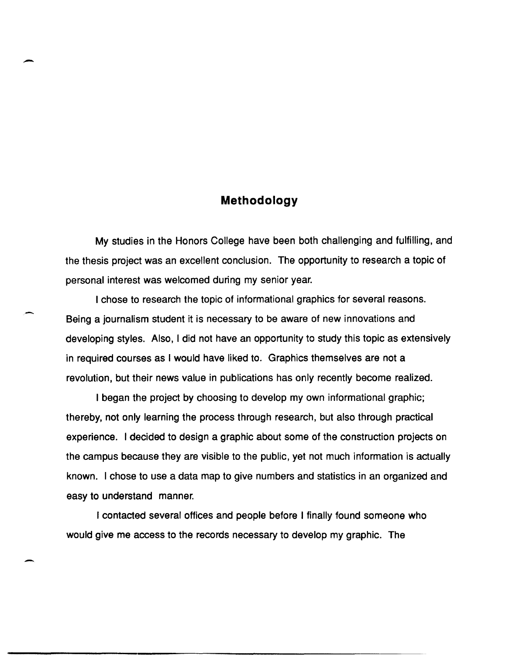### **Methodology**

-

-

My studies in the Honors College have been both challenging and fulfilling, and the thesis project was an excellent conclusion. The opportunity to research a topic of personal interest was welcomed during my senior year.

I chose to research the topic of informational graphics for several reasons. Being a journalism student it is necessary to be aware of new innovations and developing styles. Also, I did not have an opportunity to study this topic as extensively in required courses as I would have liked to. Graphics themselves are not a revolution, but their news value in publications has only recently become realized.

I began the project by choosing to develop my own informational graphic; thereby, not only learning the process through research, but also through practical experience. I decided to design a graphic about some of the construction projects on the campus because they are visible to the public, yet not much information is actually known. I chose to use a data map to give numbers and statistics in an organized and easy to understand manner.

I contacted several offices and people before I finally found someone who would give me access to the records necessary to develop my graphic. The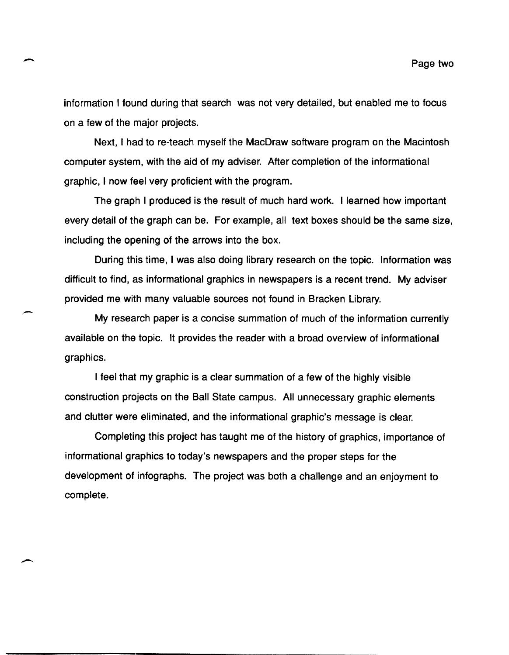information I found during that search was not very detailed, but enabled me to focus on a few of the major projects.

-

-

Next, I had to re-teach myself the MacDraw software program on the Macintosh computer system, with the aid of my adviser. After completion of the informational graphic, I now feel very proficient with the program.

The graph I produced is the result of much hard work. I learned how important every detail of the graph can be. For example, all text boxes should be the same size, including the opening of the arrows into the box.

During this time, I was also doing library research on the topic. Information was difficult to find, as informational graphics in newspapers is a recent trend. My adviser provided me with many valuable sources not found in Bracken Library.

My research paper is a concise summation of much of the information currently available on the topic. It provides the reader with a broad overview of informational graphics.

I feel that my graphic is a clear summation of a few of the highly visible construction projects on the Ball State campus. All unnecessary graphic elements and clutter were eliminated, and the informational graphic's message is clear.

Completing this project has taught me of the history of graphics, importance of informational graphics to today's newspapers and the proper steps for the development of infographs. The project was both a challenge and an enjoyment to complete.